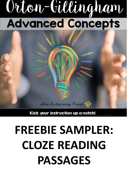# Orton-Gillingham **Advanced Concepts**

## **FREEBIE SAMPLER: CLOZE READING PASSAGES**

Kick your instruction up a notch!

The Literacy nest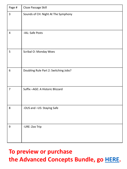| Page #                  | Cloze Passage Skill                   |
|-------------------------|---------------------------------------|
| $\mathsf{3}$            | Sounds of CH: Night At The Symphony   |
| $\overline{\mathbf{r}}$ | -IAL: Safe Posts                      |
| 5                       | Scribal O: Monday Woes                |
| 6                       | Doubling Rule Part 2: Switching Jobs? |
| $\overline{7}$          | Suffix-AGE: A Historic Blizzard       |
| 8                       | -OUS and -US: Staying Safe            |
| 9                       | -URE: Zoo Trip                        |

## **To preview or purchase the Advanced Concepts Bundle, go [HERE](https://www.teacherspayteachers.com/Product/Advanced-Orton-Gillingham-Activities-BUNDLE-5040040).**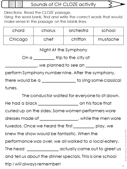Sounds of CH CLOZE activity

Directions: Read the CLOZE passage.

Using the word bank, find and write the correct words that would make sense in the passage on the blank lines.

| chord   | chorus | orchestra | school   |
|---------|--------|-----------|----------|
| Chicago | chef   | chiffon   | mustache |

#### Night At the Symphony

On a \_\_\_\_\_\_\_\_\_trip to the city of

 $\sim$  , we planned to see an  $\sim$ 

perform Symphony number nine. After the symphony,

there would be a \_\_\_\_\_\_\_\_\_\_\_\_\_\_\_ to sing some classical tunes.

The conductor waited for everyone to sit down.

He had a black \_\_\_\_\_\_\_\_\_\_\_\_\_\_\_\_\_\_\_\_\_\_\_\_\_\_\_ on his face that

curled up on the sides. Some women performers wore

dresses made of \_\_\_\_\_\_\_\_\_\_\_\_\_\_\_\_, while the men wore

tuxedos. Once we heard the first \_\_\_\_\_\_\_\_\_\_ play, we

knew the show would be fantastic. When the

performance was over, we all walked to a local eatery.

The head \_\_\_\_\_\_\_\_\_\_\_\_\_\_\_\_\_ actually came out to greet us

and tell us about the dinner specials. This is one school

trip I will always remember!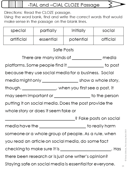#### -TIAL and -CIAL CLOZE Passage

Directions: Read the CLOZE passage.

Using the word bank, find and write the correct words that would make sense in the passage on the blank lines.

| special                                                       | partially                                                | initially  | social   |  |
|---------------------------------------------------------------|----------------------------------------------------------|------------|----------|--|
| artificial                                                    | essential                                                | potential  | official |  |
|                                                               |                                                          | Safe Posts |          |  |
|                                                               | There are many kinds of _______________ media            |            |          |  |
|                                                               | platforms. Some people find it _________________ to post |            |          |  |
|                                                               | because they use social media for a business. Social     |            |          |  |
|                                                               |                                                          |            |          |  |
|                                                               | though. _______________, when you first see a post, it   |            |          |  |
|                                                               | may seem important or ___________________ to the person  |            |          |  |
| putting it on social media. Does the post provide the         |                                                          |            |          |  |
| whole story or does it seem fake or                           |                                                          |            |          |  |
| ़? Fake posts on social                                       |                                                          |            |          |  |
| media have the _______________________ to really harm         |                                                          |            |          |  |
| someone or a whole group of people. As a rule, when           |                                                          |            |          |  |
| you read an article on social media, do some fact             |                                                          |            |          |  |
| checking to make sure it is __________________________. Has   |                                                          |            |          |  |
| there been research or is just one writer's opinion?          |                                                          |            |          |  |
| Staying safe on social media is essential for everyone.<br>15 |                                                          |            |          |  |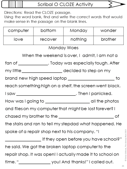#### Scribal O CLOZE Activity

Directions: Read the CLOZE passage.

Using the word bank, find and write the correct words that would make sense in the passage on the blank lines.

| computer                                                | bottom  | Monday                                                    | wonder  |  |
|---------------------------------------------------------|---------|-----------------------------------------------------------|---------|--|
| love                                                    | recover | nothing                                                   | brother |  |
|                                                         |         | Monday Woes                                               |         |  |
|                                                         |         | When the weekend is over, I admit, I am not a             |         |  |
|                                                         |         | fan of _______________. Today was especially tough. After |         |  |
|                                                         |         | my little ______________________ decided to step on my    |         |  |
|                                                         |         |                                                           | to      |  |
|                                                         |         | reach something high on a shelf, the screen went black.   |         |  |
|                                                         |         |                                                           |         |  |
|                                                         |         |                                                           |         |  |
| and files on my computer that might be lost forever? I  |         |                                                           |         |  |
| Οf                                                      |         |                                                           |         |  |
| the stairs and ran to tell my stepdad what happened. He |         |                                                           |         |  |
| spoke of a repair shop next to his company. "I          |         |                                                           |         |  |
| if they open before you have school?"                   |         |                                                           |         |  |
| he said. We got the broken laptop computer to the       |         |                                                           |         |  |
|                                                         |         |                                                           |         |  |
|                                                         |         | repair shop. It was open! I actually made it to school on |         |  |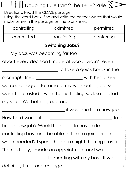### Doubling Rule Part 2 The 1+1+2 Rule

Directions: Read the CLOZE passage.

Using the word bank, find and write the correct words that would make sense in the passage on the blank lines.

| controlling                                             | admitted                                                       | permitted                       |  |
|---------------------------------------------------------|----------------------------------------------------------------|---------------------------------|--|
| committed                                               | transferring                                                   | conferring                      |  |
|                                                         | <b>Switching Jobs?</b>                                         |                                 |  |
|                                                         | My boss was becoming far too ____                              |                                 |  |
|                                                         | about every decision I made at work. I wasn't even             |                                 |  |
|                                                         |                                                                | to take a quick break in the    |  |
|                                                         | morning! I tried __________________________ with her to see if |                                 |  |
|                                                         | we could negotiate some of my work duties, but she             |                                 |  |
|                                                         | wasn't interested. I went home feeling sad, so I called        |                                 |  |
| my sister. We both agreed and                           |                                                                |                                 |  |
|                                                         |                                                                | $\_$ it was time for a new job. |  |
| How hard would it be                                    |                                                                | to a                            |  |
|                                                         | brand new job? Would I be able to have a less                  |                                 |  |
|                                                         | controlling boss and be able to take a quick break             |                                 |  |
| when needed? I spent the entire night thinking it over. |                                                                |                                 |  |
| The next day, I made an appointment and was             |                                                                |                                 |  |
|                                                         | to meeting with my boss. It was                                |                                 |  |
| definitely time for a change.                           |                                                                | 6                               |  |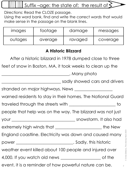## Suffix –age: the state of; the result of  $\leq$

Directions: Read the CLOZE passage.

Using the word bank, find and write the correct words that would make sense in the passage on the blank lines.

| <i>images</i> | tootage | damage  | messages |
|---------------|---------|---------|----------|
| outages       | average | ravaged | coverage |

#### **A Historic Blizzard**

After a historic blizzard in 1978 dumped close to three

feet of snow in Boston, MA, it took weeks to clean up the

\_\_\_\_\_\_\_\_\_\_\_\_\_\_\_\_\_\_\_\_\_\_\_\_\_\_\_\_\_\_\_\_. Many photo

\_\_\_\_\_\_\_\_\_\_\_\_\_\_\_\_\_\_\_\_\_\_\_\_\_\_\_\_ sadly showed cars and drivers

stranded on major highways. News \_\_\_\_\_\_\_\_\_\_\_\_\_\_\_\_\_\_

warned residents to stay in their homes. The National Guard

traveled through the streets with \_\_\_\_\_\_\_\_\_\_\_\_\_\_\_\_\_\_\_\_\_\_ to

people that help was on the way. The blizzard was not just

your \_\_\_\_\_\_\_\_\_\_\_\_\_\_\_\_\_\_\_\_\_\_\_\_\_\_\_\_\_\_ snowstorm. It also had

extremely high winds that \_\_\_\_\_\_\_\_\_\_\_\_\_\_\_\_\_\_\_\_\_\_\_\_\_\_the New

England coastline. Electricity was down and caused many

power \_\_\_\_\_\_\_\_\_\_\_\_\_\_\_\_\_\_\_\_\_\_\_\_\_\_\_. Sadly, this historic

weather event killed about 100 people and injured over

4,000. If you watch old news \_\_\_\_\_\_\_\_\_\_\_\_\_\_\_\_\_\_\_ of the

event, it is a reminder of how powerful nature can be.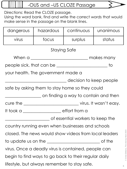-OUS and –US CLOZE Passage

Directions: Read the CLOZE passage.

≸

Using the word bank, find and write the correct words that would make sense in the passage on the blank lines.

| dangerous                                             | hazardous                                            | continuous              | unanimous |  |
|-------------------------------------------------------|------------------------------------------------------|-------------------------|-----------|--|
| virus                                                 | focus                                                | surplus                 | status    |  |
|                                                       | <b>Staying Safe</b>                                  |                         |           |  |
|                                                       |                                                      |                         |           |  |
|                                                       |                                                      |                         | to        |  |
|                                                       | your health. The government made a                   |                         |           |  |
|                                                       |                                                      | decision to keep people |           |  |
|                                                       | safe by asking them to stay home so they could       |                         |           |  |
|                                                       | ______________ on finding a way to contain and then  |                         |           |  |
|                                                       |                                                      |                         |           |  |
| It took a __________________ effort from a            |                                                      |                         |           |  |
| __ of essential workers to keep the                   |                                                      |                         |           |  |
| country running even when businesses and schools      |                                                      |                         |           |  |
| closed. The news would show videos from local leaders |                                                      |                         |           |  |
| of the                                                |                                                      |                         |           |  |
| virus. Once a deadly virus is contained, people can   |                                                      |                         |           |  |
|                                                       | begin to find ways to go back to their regular daily |                         |           |  |
| lifestyle, but always remember to stay safe.          |                                                      |                         |           |  |